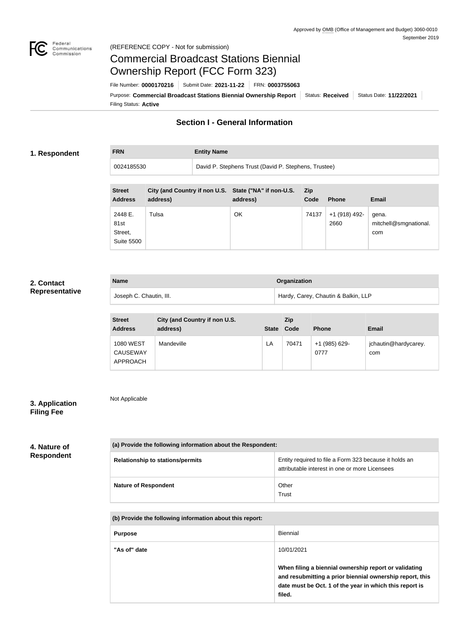

Not Applicable

# Commercial Broadcast Stations Biennial Ownership Report (FCC Form 323)

**FRN Entity Name**

Filing Status: **Active** Purpose: Commercial Broadcast Stations Biennial Ownership Report Status: Received Status Date: 11/22/2021 File Number: **0000170216** Submit Date: **2021-11-22** FRN: **0003755063**

## **Section I - General Information**

#### **1. Respondent**

0024185530 David P. Stephens Trust (David P. Stephens, Trustee)

| <b>Street</b><br><b>Address</b>                 | City (and Country if non U.S. State ("NA" if non-U.S.<br>address) | address) | Zip<br>Code | <b>Phone</b>          | <b>Email</b>                          |
|-------------------------------------------------|-------------------------------------------------------------------|----------|-------------|-----------------------|---------------------------------------|
| 2448 E.<br>81st<br>Street,<br><b>Suite 5500</b> | Tulsa                                                             | ΟK       | 74137       | +1 (918) 492-<br>2660 | gena.<br>mitchell@smgnational.<br>com |

#### **2. Contact Representative**

| <b>Name</b>             | <b>Organization</b>                 |  |  |
|-------------------------|-------------------------------------|--|--|
| Joseph C. Chautin, III. | Hardy, Carey, Chautin & Balkin, LLP |  |  |

| <b>Street</b><br><b>Address</b>                        | City (and Country if non U.S.<br>address) | <b>State</b> | <b>Zip</b><br>Code | <b>Phone</b>          | <b>Email</b>                |
|--------------------------------------------------------|-------------------------------------------|--------------|--------------------|-----------------------|-----------------------------|
| <b>1080 WEST</b><br><b>CAUSEWAY</b><br><b>APPROACH</b> | Mandeville                                | LA           | 70471              | +1 (985) 629-<br>0777 | jchautin@hardycarey.<br>com |

### **3. Application Filing Fee**

#### **4. Nature of Respondent**

| (a) Provide the following information about the Respondent: |                                                                                                          |  |  |
|-------------------------------------------------------------|----------------------------------------------------------------------------------------------------------|--|--|
| <b>Relationship to stations/permits</b>                     | Entity required to file a Form 323 because it holds an<br>attributable interest in one or more Licensees |  |  |
| <b>Nature of Respondent</b>                                 | Other<br>Trust                                                                                           |  |  |

**(b) Provide the following information about this report:** Purpose **Biennial "As of" date** 10/01/2021 **When filing a biennial ownership report or validating and resubmitting a prior biennial ownership report, this date must be Oct. 1 of the year in which this report is filed.**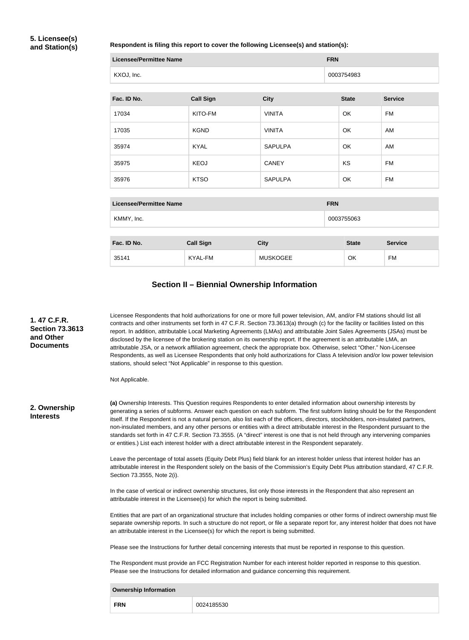#### **5. Licensee(s) and Station(s)**

#### **Respondent is filing this report to cover the following Licensee(s) and station(s):**

| <b>Licensee/Permittee Name</b> |                  |                 | <b>FRN</b>   |                |  |  |
|--------------------------------|------------------|-----------------|--------------|----------------|--|--|
| KXOJ, Inc.                     |                  |                 | 0003754983   |                |  |  |
| Fac. ID No.                    | <b>Call Sign</b> | <b>City</b>     | <b>State</b> | <b>Service</b> |  |  |
| 17034                          | KITO-FM          | <b>VINITA</b>   | OK           | <b>FM</b>      |  |  |
| 17035                          | <b>KGND</b>      | <b>VINITA</b>   | OK           | AM             |  |  |
| 35974                          | <b>KYAL</b>      | <b>SAPULPA</b>  | OK           | AM             |  |  |
| 35975                          | <b>KEOJ</b>      | <b>CANEY</b>    | KS           | <b>FM</b>      |  |  |
| 35976                          | <b>KTSO</b>      | <b>SAPULPA</b>  | OK           | <b>FM</b>      |  |  |
|                                |                  |                 |              |                |  |  |
| <b>Licensee/Permittee Name</b> |                  |                 | <b>FRN</b>   |                |  |  |
| KMMY, Inc.                     |                  |                 | 0003755063   |                |  |  |
| Fac. ID No.                    | <b>Call Sign</b> | <b>City</b>     | <b>State</b> | <b>Service</b> |  |  |
| 35141                          | <b>KYAL-FM</b>   | <b>MUSKOGEE</b> | OK           | <b>FM</b>      |  |  |
|                                |                  |                 |              |                |  |  |

#### **Section II – Biennial Ownership Information**

**(a)** Ownership Interests. This Question requires Respondents to enter detailed information about ownership interests by generating a series of subforms. Answer each question on each subform. The first subform listing should be for the Respondent itself. If the Respondent is not a natural person, also list each of the officers, directors, stockholders, non-insulated partners, non-insulated members, and any other persons or entities with a direct attributable interest in the Respondent pursuant to the standards set forth in 47 C.F.R. Section 73.3555. (A "direct" interest is one that is not held through any intervening companies or entities.) List each interest holder with a direct attributable interest in the Respondent separately. Leave the percentage of total assets (Equity Debt Plus) field blank for an interest holder unless that interest holder has an attributable interest in the Respondent solely on the basis of the Commission's Equity Debt Plus attribution standard, 47 C.F.R. Section 73.3555, Note 2(i). In the case of vertical or indirect ownership structures, list only those interests in the Respondent that also represent an attributable interest in the Licensee(s) for which the report is being submitted. Entities that are part of an organizational structure that includes holding companies or other forms of indirect ownership must file separate ownership reports. In such a structure do not report, or file a separate report for, any interest holder that does not have an attributable interest in the Licensee(s) for which the report is being submitted. Please see the Instructions for further detail concerning interests that must be reported in response to this question. The Respondent must provide an FCC Registration Number for each interest holder reported in response to this question. Please see the Instructions for detailed information and guidance concerning this requirement. **Ownership Information 2. Ownership Interests** Licensee Respondents that hold authorizations for one or more full power television, AM, and/or FM stations should list all contracts and other instruments set forth in 47 C.F.R. Section 73.3613(a) through (c) for the facility or facilities listed on this report. In addition, attributable Local Marketing Agreements (LMAs) and attributable Joint Sales Agreements (JSAs) must be disclosed by the licensee of the brokering station on its ownership report. If the agreement is an attributable LMA, an attributable JSA, or a network affiliation agreement, check the appropriate box. Otherwise, select "Other." Non-Licensee Respondents, as well as Licensee Respondents that only hold authorizations for Class A television and/or low power television stations, should select "Not Applicable" in response to this question. Not Applicable. **1. 47 C.F.R. Section 73.3613 and Other Documents**

**FRN** 0024185530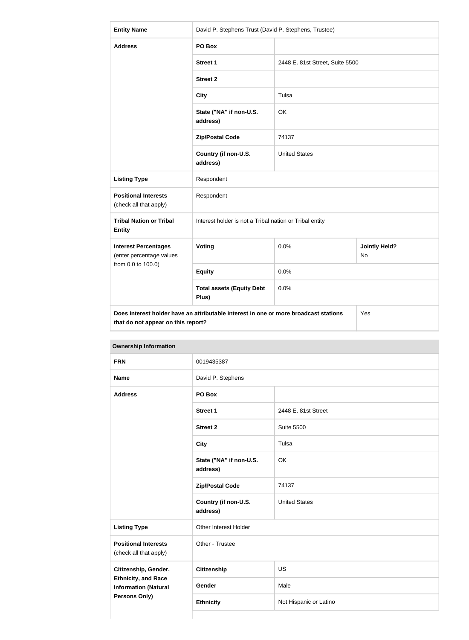| <b>Entity Name</b>                                                                                                                | David P. Stephens Trust (David P. Stephens, Trustee)    |                                 |                                   |  |  |
|-----------------------------------------------------------------------------------------------------------------------------------|---------------------------------------------------------|---------------------------------|-----------------------------------|--|--|
| <b>Address</b>                                                                                                                    | PO Box                                                  |                                 |                                   |  |  |
|                                                                                                                                   | <b>Street 1</b>                                         | 2448 E. 81st Street, Suite 5500 |                                   |  |  |
|                                                                                                                                   | <b>Street 2</b>                                         |                                 |                                   |  |  |
|                                                                                                                                   | <b>City</b>                                             | Tulsa                           |                                   |  |  |
|                                                                                                                                   | State ("NA" if non-U.S.<br>address)                     | OK                              |                                   |  |  |
|                                                                                                                                   | <b>Zip/Postal Code</b>                                  | 74137                           |                                   |  |  |
|                                                                                                                                   | Country (if non-U.S.<br>address)                        | <b>United States</b>            |                                   |  |  |
| <b>Listing Type</b>                                                                                                               | Respondent                                              |                                 |                                   |  |  |
| <b>Positional Interests</b><br>(check all that apply)                                                                             | Respondent                                              |                                 |                                   |  |  |
| <b>Tribal Nation or Tribal</b><br><b>Entity</b>                                                                                   | Interest holder is not a Tribal nation or Tribal entity |                                 |                                   |  |  |
| <b>Interest Percentages</b><br>(enter percentage values                                                                           | <b>Voting</b>                                           | 0.0%                            | <b>Jointly Held?</b><br><b>No</b> |  |  |
| from 0.0 to 100.0)                                                                                                                | <b>Equity</b>                                           | 0.0%                            |                                   |  |  |
|                                                                                                                                   | <b>Total assets (Equity Debt</b><br>Plus)               | 0.0%                            |                                   |  |  |
| Does interest holder have an attributable interest in one or more broadcast stations<br>Yes<br>that do not appear on this report? |                                                         |                                 |                                   |  |  |

| <b>FRN</b>                                                                 | 0019435387                          | David P. Stephens      |  |  |
|----------------------------------------------------------------------------|-------------------------------------|------------------------|--|--|
| <b>Name</b>                                                                |                                     |                        |  |  |
| <b>Address</b>                                                             | PO Box                              |                        |  |  |
|                                                                            | Street 1                            | 2448 E. 81st Street    |  |  |
|                                                                            | <b>Street 2</b>                     | <b>Suite 5500</b>      |  |  |
|                                                                            | <b>City</b>                         | Tulsa                  |  |  |
|                                                                            | State ("NA" if non-U.S.<br>address) | OK                     |  |  |
|                                                                            | <b>Zip/Postal Code</b>              | 74137                  |  |  |
|                                                                            | Country (if non-U.S.<br>address)    | <b>United States</b>   |  |  |
| <b>Listing Type</b>                                                        | Other Interest Holder               |                        |  |  |
| <b>Positional Interests</b><br>(check all that apply)                      | Other - Trustee                     |                        |  |  |
| Citizenship, Gender,                                                       | <b>Citizenship</b>                  | <b>US</b>              |  |  |
| <b>Ethnicity, and Race</b><br><b>Information (Natural</b><br>Persons Only) | Gender                              | Male                   |  |  |
|                                                                            | <b>Ethnicity</b>                    | Not Hispanic or Latino |  |  |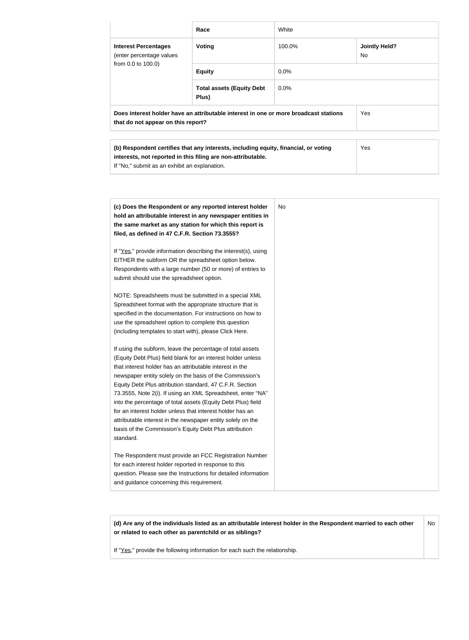|                                                                                                                            | Race                                      | White                                 |            |  |
|----------------------------------------------------------------------------------------------------------------------------|-------------------------------------------|---------------------------------------|------------|--|
| <b>Interest Percentages</b><br>(enter percentage values                                                                    | <b>Voting</b>                             | <b>Jointly Held?</b><br>100.0%<br>No. |            |  |
| from 0.0 to 100.0)                                                                                                         | <b>Equity</b>                             | $0.0\%$                               |            |  |
|                                                                                                                            | <b>Total assets (Equity Debt</b><br>Plus) | $0.0\%$                               |            |  |
| Does interest holder have an attributable interest in one or more broadcast stations<br>that do not appear on this report? |                                           |                                       | <b>Yes</b> |  |
|                                                                                                                            |                                           |                                       |            |  |

| (b) Respondent certifies that any interests, including equity, financial, or voting | Yes |
|-------------------------------------------------------------------------------------|-----|
| interests, not reported in this filing are non-attributable.                        |     |
| If "No," submit as an exhibit an explanation.                                       |     |
|                                                                                     |     |

| (c) Does the Respondent or any reported interest holder<br>hold an attributable interest in any newspaper entities in<br>the same market as any station for which this report is<br>filed, as defined in 47 C.F.R. Section 73.3555?                                                                                                                                                                                                                                                                                                                                                                                                              |
|--------------------------------------------------------------------------------------------------------------------------------------------------------------------------------------------------------------------------------------------------------------------------------------------------------------------------------------------------------------------------------------------------------------------------------------------------------------------------------------------------------------------------------------------------------------------------------------------------------------------------------------------------|
| If "Yes," provide information describing the interest(s), using<br>EITHER the subform OR the spreadsheet option below.<br>Respondents with a large number (50 or more) of entries to<br>submit should use the spreadsheet option.                                                                                                                                                                                                                                                                                                                                                                                                                |
| NOTE: Spreadsheets must be submitted in a special XML<br>Spreadsheet format with the appropriate structure that is<br>specified in the documentation. For instructions on how to<br>use the spreadsheet option to complete this question<br>(including templates to start with), please Click Here.                                                                                                                                                                                                                                                                                                                                              |
| If using the subform, leave the percentage of total assets<br>(Equity Debt Plus) field blank for an interest holder unless<br>that interest holder has an attributable interest in the<br>newspaper entity solely on the basis of the Commission's<br>Equity Debt Plus attribution standard, 47 C.F.R. Section<br>73.3555, Note 2(i). If using an XML Spreadsheet, enter "NA"<br>into the percentage of total assets (Equity Debt Plus) field<br>for an interest holder unless that interest holder has an<br>attributable interest in the newspaper entity solely on the<br>basis of the Commission's Equity Debt Plus attribution<br>standard. |
| The Respondent must provide an FCC Registration Number<br>for each interest holder reported in response to this<br>question. Please see the Instructions for detailed information<br>and guidance concerning this requirement.                                                                                                                                                                                                                                                                                                                                                                                                                   |

**(d) Are any of the individuals listed as an attributable interest holder in the Respondent married to each other or related to each other as parentchild or as siblings?** No

If "Yes," provide the following information for each such the relationship.